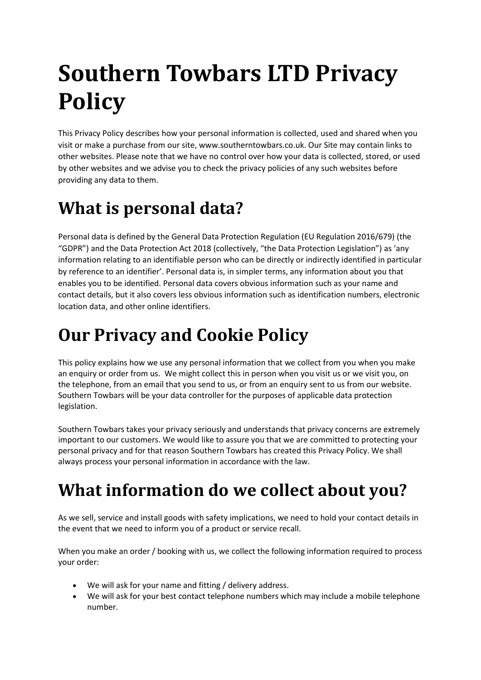# **Southern Towbars LTD Privacy Policy**

This Privacy Policy describes how your personal information is collected, used and shared when you visit or make a purchase from our site, www.southerntowbars.co.uk. Our Site may contain links to other websites. Please note that we have no control over how your data is collected, stored, or used by other websites and we advise you to check the privacy policies of any such websites before providing any data to them.

# **What is personal data?**

Personal data is defined by the General Data Protection Regulation (EU Regulation 2016/679) (the "GDPR") and the Data Protection Act 2018 (collectively, "the Data Protection Legislation") as 'any information relating to an identifiable person who can be directly or indirectly identified in particular by reference to an identifier'. Personal data is, in simpler terms, any information about you that enables you to be identified. Personal data covers obvious information such as your name and contact details, but it also covers less obvious information such as identification numbers, electronic location data, and other online identifiers.

# **Our Privacy and Cookie Policy**

This policy explains how we use any personal information that we collect from you when you make an enquiry or order from us. We might collect this in person when you visit us or we visit you, on the telephone, from an email that you send to us, or from an enquiry sent to us from our website. Southern Towbars will be your data controller for the purposes of applicable data protection legislation.

Southern Towbars takes your privacy seriously and understands that privacy concerns are extremely important to our customers. We would like to assure you that we are committed to protecting your personal privacy and for that reason Southern Towbars has created this Privacy Policy. We shall always process your personal information in accordance with the law.

# **What information do we collect about you?**

As we sell, service and install goods with safety implications, we need to hold your contact details in the event that we need to inform you of a product or service recall.

When you make an order / booking with us, we collect the following information required to process your order:

- We will ask for your name and fitting / delivery address.
- We will ask for your best contact telephone numbers which may include a mobile telephone number.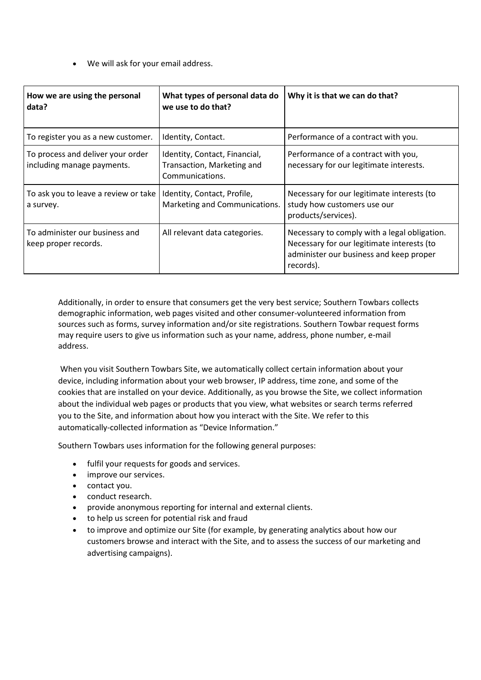• We will ask for your email address.

| How we are using the personal<br>data?                          | What types of personal data do<br>we use to do that?                           | Why it is that we can do that?                                                                                                                     |
|-----------------------------------------------------------------|--------------------------------------------------------------------------------|----------------------------------------------------------------------------------------------------------------------------------------------------|
| To register you as a new customer.                              | Identity, Contact.                                                             | Performance of a contract with you.                                                                                                                |
| To process and deliver your order<br>including manage payments. | Identity, Contact, Financial,<br>Transaction, Marketing and<br>Communications. | Performance of a contract with you,<br>necessary for our legitimate interests.                                                                     |
| To ask you to leave a review or take<br>a survey.               | Identity, Contact, Profile,<br>Marketing and Communications.                   | Necessary for our legitimate interests (to<br>study how customers use our<br>products/services).                                                   |
| To administer our business and<br>keep proper records.          | All relevant data categories.                                                  | Necessary to comply with a legal obligation.<br>Necessary for our legitimate interests (to<br>administer our business and keep proper<br>records). |

Additionally, in order to ensure that consumers get the very best service; Southern Towbars collects demographic information, web pages visited and other consumer-volunteered information from sources such as forms, survey information and/or site registrations. Southern Towbar request forms may require users to give us information such as your name, address, phone number, e-mail address.

When you visit Southern Towbars Site, we automatically collect certain information about your device, including information about your web browser, IP address, time zone, and some of the cookies that are installed on your device. Additionally, as you browse the Site, we collect information about the individual web pages or products that you view, what websites or search terms referred you to the Site, and information about how you interact with the Site. We refer to this automatically-collected information as "Device Information."

Southern Towbars uses information for the following general purposes:

- fulfil your requests for goods and services.
- improve our services.
- contact you.
- conduct research.
- provide anonymous reporting for internal and external clients.
- to help us screen for potential risk and fraud
- to improve and optimize our Site (for example, by generating analytics about how our customers browse and interact with the Site, and to assess the success of our marketing and advertising campaigns).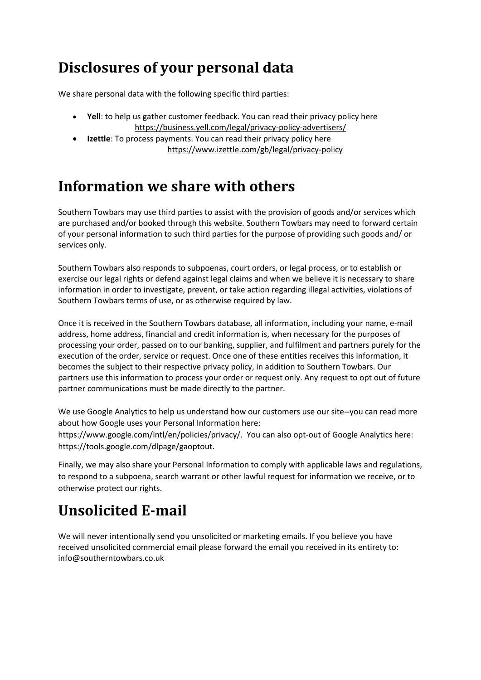### **Disclosures of your personal data**

We share personal data with the following specific third parties:

- **Yell**: to help us gather customer feedback. [You can read their privacy policy here](https://uk.legal.trustpilot.com/end-user-privacy-terms) <https://business.yell.com/legal/privacy-policy-advertisers/>
- **Izettle**: To process payments. You can read their privacy policy here <https://www.izettle.com/gb/legal/privacy-policy>

#### **Information we share with others**

Southern Towbars may use third parties to assist with the provision of goods and/or services which are purchased and/or booked through this website. Southern Towbars may need to forward certain of your personal information to such third parties for the purpose of providing such goods and/ or services only.

Southern Towbars also responds to subpoenas, court orders, or legal process, or to establish or exercise our legal rights or defend against legal claims and when we believe it is necessary to share information in order to investigate, prevent, or take action regarding illegal activities, violations of Southern Towbars terms of use, or as otherwise required by law.

Once it is received in the Southern Towbars database, all information, including your name, e-mail address, home address, financial and credit information is, when necessary for the purposes of processing your order, passed on to our banking, supplier, and fulfilment and partners purely for the execution of the order, service or request. Once one of these entities receives this information, it becomes the subject to their respective privacy policy, in addition to Southern Towbars. Our partners use this information to process your order or request only. Any request to opt out of future partner communications must be made directly to the partner.

We use Google Analytics to help us understand how our customers use our site--you can read more about how Google uses your Personal Information here:

https://www.google.com/intl/en/policies/privacy/. You can also opt-out of Google Analytics here: https://tools.google.com/dlpage/gaoptout.

Finally, we may also share your Personal Information to comply with applicable laws and regulations, to respond to a subpoena, search warrant or other lawful request for information we receive, or to otherwise protect our rights.

### **Unsolicited E-mail**

We will never intentionally send you unsolicited or marketing emails. If you believe you have received unsolicited commercial email please forward the email you received in its entirety to: info@southerntowbars.co.uk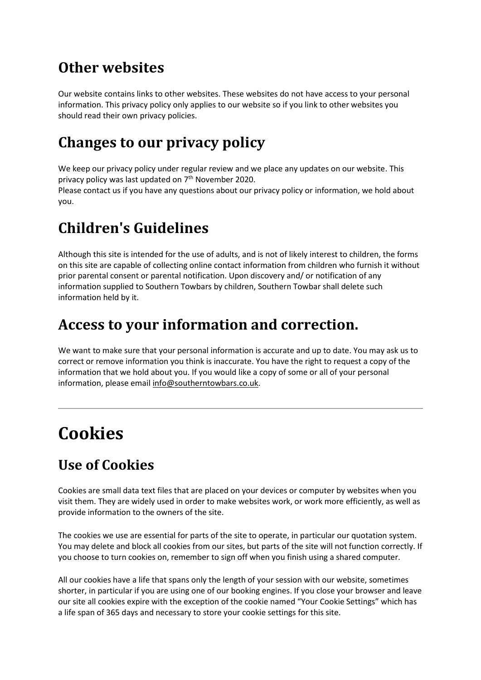#### **Other websites**

Our website contains links to other websites. These websites do not have access to your personal information. This privacy policy only applies to our website so if you link to other websites you should read their own privacy policies.

#### **Changes to our privacy policy**

We keep our privacy policy under regular review and we place any updates on our website. This privacy policy was last updated on 7<sup>th</sup> November 2020.

Please contact us if you have any questions about our privacy policy or information, we hold about you.

#### **Children's Guidelines**

Although this site is intended for the use of adults, and is not of likely interest to children, the forms on this site are capable of collecting online contact information from children who furnish it without prior parental consent or parental notification. Upon discovery and/ or notification of any information supplied to Southern Towbars by children, Southern Towbar shall delete such information held by it.

#### **Access to your information and correction.**

We want to make sure that your personal information is accurate and up to date. You may ask us to correct or remove information you think is inaccurate. You have the right to request a copy of the information that we hold about you. If you would like a copy of some or all of your personal information, please emai[l info@southerntowbars.co.uk.](mailto:info@southerntowbars.co.uk)

## **Cookies**

#### **Use of Cookies**

Cookies are small data text files that are placed on your devices or computer by websites when you visit them. They are widely used in order to make websites work, or work more efficiently, as well as provide information to the owners of the site.

The cookies we use are essential for parts of the site to operate, in particular our quotation system. You may delete and block all cookies from our sites, but parts of the site will not function correctly. If you choose to turn cookies on, remember to sign off when you finish using a shared computer.

All our cookies have a life that spans only the length of your session with our website, sometimes shorter, in particular if you are using one of our booking engines. If you close your browser and leave our site all cookies expire with the exception of the cookie named "Your Cookie Settings" which has a life span of 365 days and necessary to store your cookie settings for this site.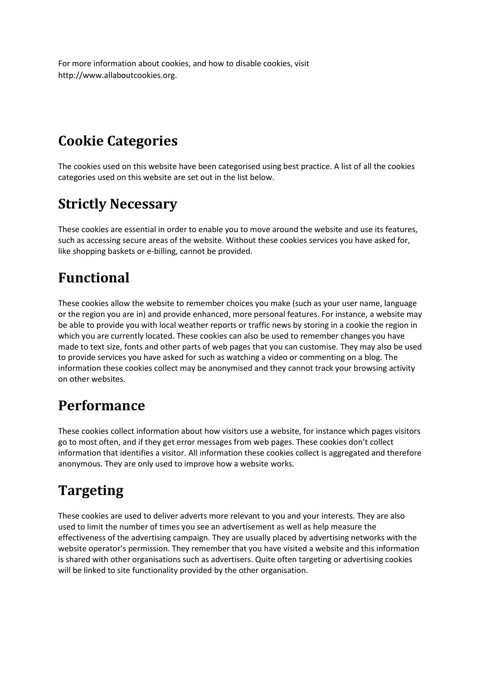For more information about cookies, and how to disable cookies, visit http://www.allaboutcookies.org.

#### **Cookie Categories**

The cookies used on this website have been categorised using best practice. A list of all the cookies categories used on this website are set out in the list below.

#### **Strictly Necessary**

These cookies are essential in order to enable you to move around the website and use its features, such as accessing secure areas of the website. Without these cookies services you have asked for, like shopping baskets or e-billing, cannot be provided.

#### **Functional**

These cookies allow the website to remember choices you make (such as your user name, language or the region you are in) and provide enhanced, more personal features. For instance, a website may be able to provide you with local weather reports or traffic news by storing in a cookie the region in which you are currently located. These cookies can also be used to remember changes you have made to text size, fonts and other parts of web pages that you can customise. They may also be used to provide services you have asked for such as watching a video or commenting on a blog. The information these cookies collect may be anonymised and they cannot track your browsing activity on other websites.

#### **Performance**

These cookies collect information about how visitors use a website, for instance which pages visitors go to most often, and if they get error messages from web pages. These cookies don't collect information that identifies a visitor. All information these cookies collect is aggregated and therefore anonymous. They are only used to improve how a website works.

#### **Targeting**

These cookies are used to deliver adverts more relevant to you and your interests. They are also used to limit the number of times you see an advertisement as well as help measure the effectiveness of the advertising campaign. They are usually placed by advertising networks with the website operator's permission. They remember that you have visited a website and this information is shared with other organisations such as advertisers. Quite often targeting or advertising cookies will be linked to site functionality provided by the other organisation.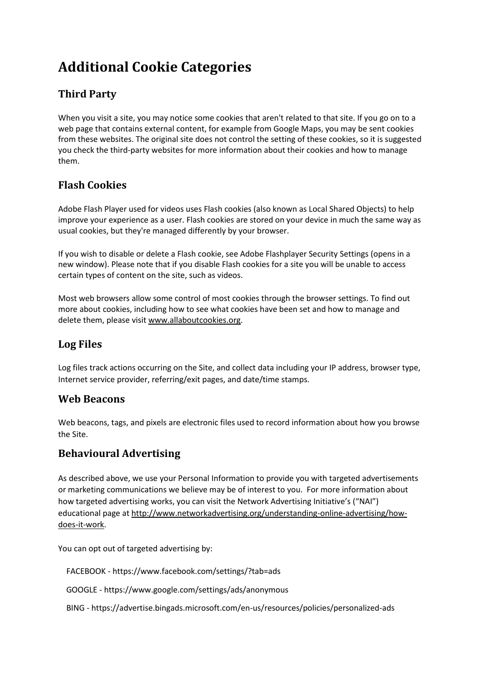### **Additional Cookie Categories**

#### **Third Party**

When you visit a site, you may notice some cookies that aren't related to that site. If you go on to a web page that contains external content, for example from Google Maps, you may be sent cookies from these websites. The original site does not control the setting of these cookies, so it is suggested you check the third-party websites for more information about their cookies and how to manage them.

#### **Flash Cookies**

Adobe Flash Player used for videos uses Flash cookies (also known as Local Shared Objects) to help improve your experience as a user. Flash cookies are stored on your device in much the same way as usual cookies, but they're managed differently by your browser.

If you wish to disable or delete a Flash cookie, see Adobe Flashplayer Security Settings (opens in a new window). Please note that if you disable Flash cookies for a site you will be unable to access certain types of content on the site, such as videos.

Most web browsers allow some control of most cookies through the browser settings. To find out more about cookies, including how to see what cookies have been set and how to manage and delete them, please visi[t www.allaboutcookies.org.](http://www.allaboutcookies.org/)

#### **Log Files**

Log files track actions occurring on the Site, and collect data including your IP address, browser type, Internet service provider, referring/exit pages, and date/time stamps.

#### **Web Beacons**

Web beacons, tags, and pixels are electronic files used to record information about how you browse the Site.

#### **Behavioural Advertising**

As described above, we use your Personal Information to provide you with targeted advertisements or marketing communications we believe may be of interest to you. For more information about how targeted advertising works, you can visit the Network Advertising Initiative's ("NAI") educational page a[t http://www.networkadvertising.org/understanding-online-advertising/how](http://www.networkadvertising.org/understanding-online-advertising/how-does-it-work)[does-it-work.](http://www.networkadvertising.org/understanding-online-advertising/how-does-it-work)

You can opt out of targeted advertising by:

FACEBOOK - https://www.facebook.com/settings/?tab=ads

GOOGLE - https://www.google.com/settings/ads/anonymous

BING - https://advertise.bingads.microsoft.com/en-us/resources/policies/personalized-ads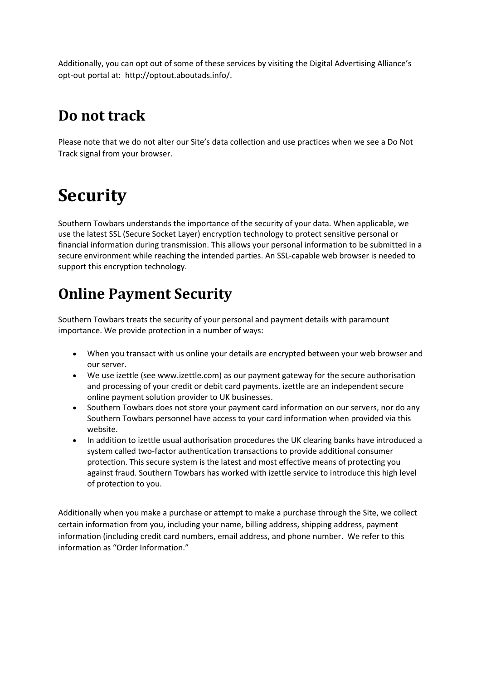Additionally, you can opt out of some of these services by visiting the Digital Advertising Alliance's opt-out portal at: http://optout.aboutads.info/.

#### **Do not track**

Please note that we do not alter our Site's data collection and use practices when we see a Do Not Track signal from your browser.

# **Security**

Southern Towbars understands the importance of the security of your data. When applicable, we use the latest SSL (Secure Socket Layer) encryption technology to protect sensitive personal or financial information during transmission. This allows your personal information to be submitted in a secure environment while reaching the intended parties. An SSL-capable web browser is needed to support this encryption technology.

### **Online Payment Security**

Southern Towbars treats the security of your personal and payment details with paramount importance. We provide protection in a number of ways:

- When you transact with us online your details are encrypted between your web browser and our server.
- We use izettle (see www.izettle.com) as our payment gateway for the secure authorisation and processing of your credit or debit card payments. izettle are an independent secure online payment solution provider to UK businesses.
- Southern Towbars does not store your payment card information on our servers, nor do any Southern Towbars personnel have access to your card information when provided via this website.
- In addition to izettle usual authorisation procedures the UK clearing banks have introduced a system called two-factor authentication transactions to provide additional consumer protection. This secure system is the latest and most effective means of protecting you against fraud. Southern Towbars has worked with izettle service to introduce this high level of protection to you.

Additionally when you make a purchase or attempt to make a purchase through the Site, we collect certain information from you, including your name, billing address, shipping address, payment information (including credit card numbers, email address, and phone number. We refer to this information as "Order Information."